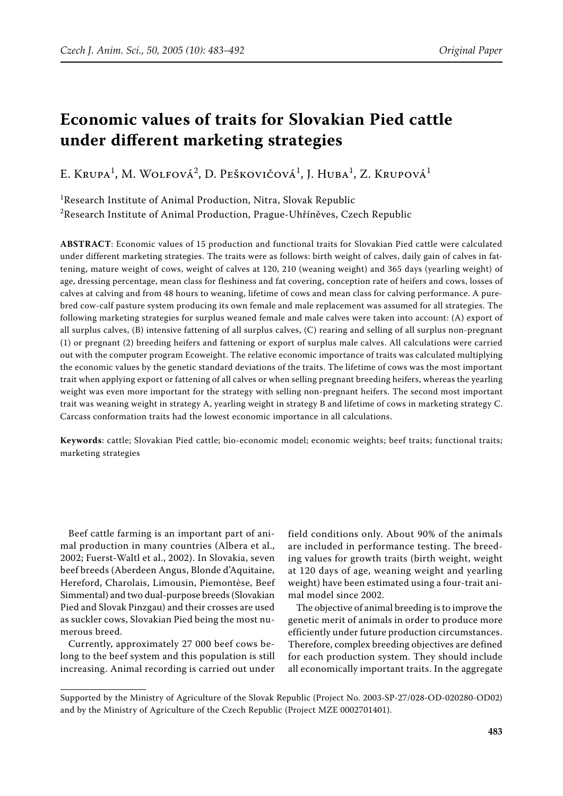# **Economic values of traits for Slovakian Pied cattle under different marketing strategies**

E. Krupa<sup>1</sup>, M. Wolfová<sup>2</sup>, D. Peškovičová<sup>1</sup>, J. Huba<sup>1</sup>, Z. Krupová<sup>1</sup>

<sup>1</sup>Research Institute of Animal Production, Nitra, Slovak Republic  $^{2}$ Research Institute of Animal Production, Prague-Uhříněves, Czech Republic

**ABSTRACT**: Economic values of 15 production and functional traits for Slovakian Pied cattle were calculated under different marketing strategies. The traits were as follows: birth weight of calves, daily gain of calves in fattening, mature weight of cows, weight of calves at 120, 210 (weaning weight) and 365 days (yearling weight) of age, dressing percentage, mean class for fleshiness and fat covering, conception rate of heifers and cows, losses of calves at calving and from 48 hours to weaning, lifetime of cows and mean class for calving performance. A purebred cow-calf pasture system producing its own female and male replacement was assumed for all strategies. The following marketing strategies for surplus weaned female and male calves were taken into account: (A) export of all surplus calves, (B) intensive fattening of all surplus calves, (C) rearing and selling of all surplus non-pregnant (1) or pregnant (2) breeding heifers and fattening or export of surplus male calves. All calculations were carried out with the computer program Ecoweight. The relative economic importance of traits was calculated multiplying the economic values by the genetic standard deviations of the traits. The lifetime of cows was the most important trait when applying export or fattening of all calves or when selling pregnant breeding heifers, whereas the yearling weight was even more important for the strategy with selling non-pregnant heifers. The second most important trait was weaning weight in strategy A, yearling weight in strategy B and lifetime of cows in marketing strategy C. Carcass conformation traits had the lowest economic importance in all calculations.

**Keywords**: cattle; Slovakian Pied cattle; bio-economic model; economic weights; beef traits; functional traits; marketing strategies

Beef cattle farming is an important part of animal production in many countries (Albera et al., 2002; Fuerst-Waltl et al., 2002). In Slovakia, seven beef breeds (Aberdeen Angus, Blonde d'Aquitaine, Hereford, Charolais, Limousin, Piemontèse, Beef Simmental) and two dual-purpose breeds (Slovakian Pied and Slovak Pinzgau) and their crosses are used as suckler cows, Slovakian Pied being the most numerous breed.

Currently, approximately 27 000 beef cows belong to the beef system and this population is still increasing. Animal recording is carried out under

field conditions only. About 90% of the animals are included in performance testing. The breeding values for growth traits (birth weight, weight at 120 days of age, weaning weight and yearling weight) have been estimated using a four-trait animal model since 2002.

The objective of animal breeding is to improve the genetic merit of animals in order to produce more efficiently under future production circumstances. Therefore, complex breeding objectives are defined for each production system. They should include all economically important traits. In the aggregate

Supported by the Ministry of Agriculture of the Slovak Republic (Project No. 2003-SP-27/028-OD-020280-OD02) and by the Ministry of Agriculture of the Czech Republic (Project MZE 0002701401).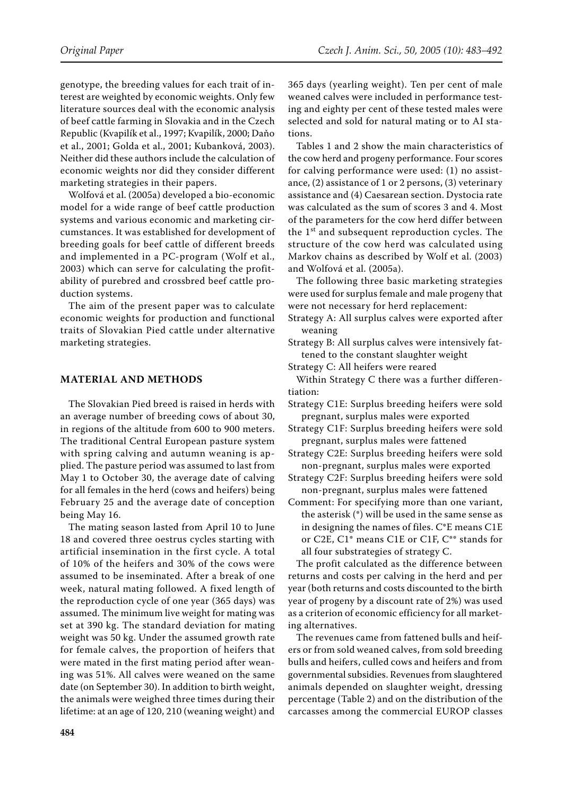genotype, the breeding values for each trait of interest are weighted by economic weights. Only few literature sources deal with the economic analysis of beef cattle farming in Slovakia and in the Czech Republic (Kvapilík et al., 1997; Kvapilík, 2000; Daňo et al., 2001; Golda et al., 2001; Kubanková, 2003). Neither did these authors include the calculation of economic weights nor did they consider different marketing strategies in their papers.

Wolfová et al. (2005a) developed a bio-economic model for a wide range of beef cattle production systems and various economic and marketing circumstances. It was established for development of breeding goals for beef cattle of different breeds and implemented in a PC-program (Wolf et al., 2003) which can serve for calculating the profitability of purebred and crossbred beef cattle production systems.

The aim of the present paper was to calculate economic weights for production and functional traits of Slovakian Pied cattle under alternative marketing strategies.

## **MATERIAL AND METHODS**

The Slovakian Pied breed is raised in herds with an average number of breeding cows of about 30, in regions of the altitude from 600 to 900 meters. The traditional Central European pasture system with spring calving and autumn weaning is applied. The pasture period was assumed to last from May 1 to October 30, the average date of calving for all females in the herd (cows and heifers) being February 25 and the average date of conception being May 16.

The mating season lasted from April 10 to June 18 and covered three oestrus cycles starting with artificial insemination in the first cycle. A total of 10% of the heifers and 30% of the cows were assumed to be inseminated. After a break of one week, natural mating followed. A fixed length of the reproduction cycle of one year (365 days) was assumed. The minimum live weight for mating was set at 390 kg. The standard deviation for mating weight was 50 kg. Under the assumed growth rate for female calves, the proportion of heifers that were mated in the first mating period after weaning was 51%. All calves were weaned on the same date (on September 30). In addition to birth weight, the animals were weighed three times during their lifetime: at an age of 120, 210 (weaning weight) and 365 days (yearling weight). Ten per cent of male weaned calves were included in performance testing and eighty per cent of these tested males were selected and sold for natural mating or to AI stations.

Tables 1 and 2 show the main characteristics of the cow herd and progeny performance. Four scores for calving performance were used: (1) no assistance, (2) assistance of 1 or 2 persons, (3) veterinary assistance and (4) Caesarean section. Dystocia rate was calculated as the sum of scores 3 and 4. Most of the parameters for the cow herd differ between the 1<sup>st</sup> and subsequent reproduction cycles. The structure of the cow herd was calculated using Markov chains as described by Wolf et al. (2003) and Wolfová et al. (2005a).

The following three basic marketing strategies were used for surplus female and male progeny that were not necessary for herd replacement:

Strategy A: All surplus calves were exported after weaning

Strategy B: All surplus calves were intensively fattened to the constant slaughter weight

Strategy C: All heifers were reared

Within Strategy C there was a further differentiation:

- Strategy C1E: Surplus breeding heifers were sold pregnant, surplus males were exported
- Strategy C1F: Surplus breeding heifers were sold pregnant, surplus males were fattened
- Strategy C2E: Surplus breeding heifers were sold non-pregnant, surplus males were exported
- Strategy C2F: Surplus breeding heifers were sold non-pregnant, surplus males were fattened
- Comment: For specifying more than one variant, the asterisk (\*) will be used in the same sense as in designing the names of files. C\*E means C1E or C2E, C1\* means C1E or C1F, C\*\* stands for all four substrategies of strategy C.

The profit calculated as the difference between returns and costs per calving in the herd and per year (both returns and costs discounted to the birth year of progeny by a discount rate of 2%) was used as a criterion of economic efficiency for all marketing alternatives.

The revenues came from fattened bulls and heifers or from sold weaned calves, from sold breeding bulls and heifers, culled cows and heifers and from governmental subsidies. Revenues from slaughtered animals depended on slaughter weight, dressing percentage (Table 2) and on the distribution of the carcasses among the commercial EUROP classes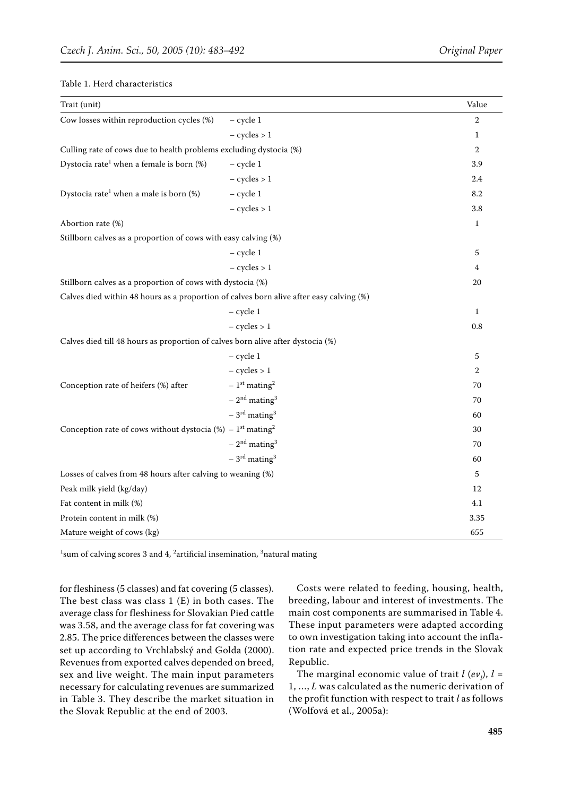| Trait (unit)                                                                            |                                        | Value          |
|-----------------------------------------------------------------------------------------|----------------------------------------|----------------|
| Cow losses within reproduction cycles (%)                                               | $-$ cycle 1                            | $\overline{2}$ |
|                                                                                         | $-$ cycles $> 1$                       | 1              |
| Culling rate of cows due to health problems excluding dystocia (%)                      |                                        | $\overline{2}$ |
| Dystocia rate <sup>1</sup> when a female is born (%)                                    | $-$ cycle 1                            | 3.9            |
|                                                                                         | $-$ cycles $> 1$                       | 2.4            |
| Dystocia rate <sup>1</sup> when a male is born (%)                                      | $-$ cycle 1                            | 8.2            |
|                                                                                         | $-$ cycles $> 1$                       | 3.8            |
| Abortion rate (%)                                                                       |                                        | $\mathbf{1}$   |
| Stillborn calves as a proportion of cows with easy calving (%)                          |                                        |                |
|                                                                                         | $-$ cycle 1                            | 5              |
|                                                                                         | $-$ cycles $> 1$                       | 4              |
| Stillborn calves as a proportion of cows with dystocia (%)                              |                                        | 20             |
| Calves died within 48 hours as a proportion of calves born alive after easy calving (%) |                                        |                |
|                                                                                         | $-$ cycle $1$                          | $\mathbf{1}$   |
|                                                                                         | $-$ cycles $> 1$                       | 0.8            |
| Calves died till 48 hours as proportion of calves born alive after dystocia (%)         |                                        |                |
|                                                                                         | $-$ cycle $1$                          | 5              |
|                                                                                         | $- cycles > 1$                         | 2              |
| Conception rate of heifers (%) after                                                    | $-1$ <sup>st</sup> mating <sup>2</sup> | 70             |
|                                                                                         | $-2nd$ mating <sup>3</sup>             | 70             |
|                                                                                         | $-3^{\rm rd}$ mating <sup>3</sup>      | 60             |
| Conception rate of cows without dystocia (%) – $1st$ mating <sup>2</sup>                |                                        | 30             |
|                                                                                         | $-2nd$ mating <sup>3</sup>             | 70             |
|                                                                                         | $-3^{\text{rd}}$ mating <sup>3</sup>   | 60             |
| Losses of calves from 48 hours after calving to weaning (%)                             |                                        | 5              |
| Peak milk yield (kg/day)                                                                |                                        | 12             |
| Fat content in milk (%)                                                                 |                                        | 4.1            |
| Protein content in milk (%)                                                             |                                        | 3.35           |
| Mature weight of cows (kg)                                                              |                                        | 655            |

 $^1$ sum of calving scores 3 and 4,  $^2$ artificial insemination,  $^3$ natural mating

for fleshiness (5 classes) and fat covering (5 classes). The best class was class 1 (E) in both cases. The average class for fleshiness for Slovakian Pied cattle was 3.58, and the average class for fat covering was 2.85. The price differences between the classes were set up according to Vrchlabský and Golda (2000). Revenues from exported calves depended on breed, sex and live weight. The main input parameters necessary for calculating revenues are summarized in Table 3. They describe the market situation in the Slovak Republic at the end of 2003.

Costs were related to feeding, housing, health, breeding, labour and interest of investments. The main cost components are summarised in Table 4. These input parameters were adapted according to own investigation taking into account the inflation rate and expected price trends in the Slovak Republic.

The marginal economic value of trait  $l$  (*ev*<sub>*l*</sub>),  $l =$ 1, …, *L* was calculated as the numeric derivation of the profit function with respect to trait *l* as follows (Wolfová et al., 2005a):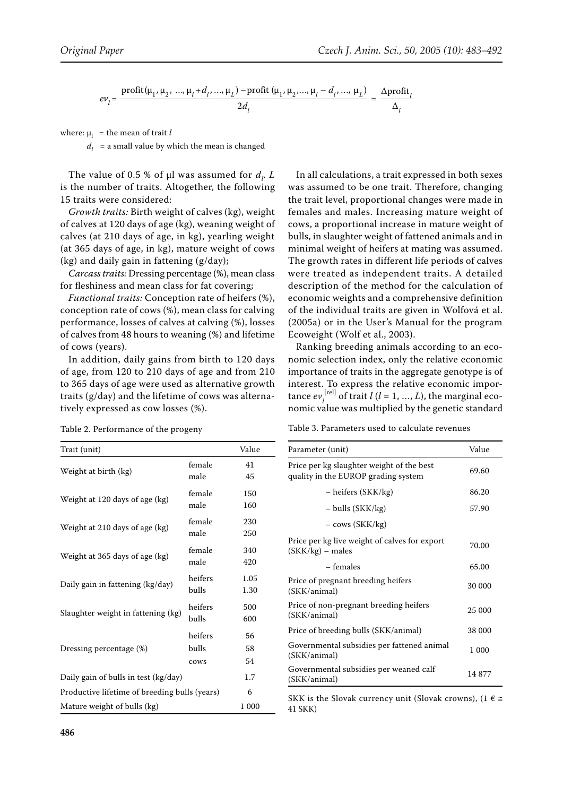$$
ev_{l} = \frac{\text{profit}(\mu_{1}, \mu_{2}, ..., \mu_{l} + d_{l}, ..., \mu_{L}) - \text{profit}(\mu_{1}, \mu_{2}, ..., \mu_{l} - d_{l}, ..., \mu_{L})}{2d_{l}} = \frac{\Delta \text{profit}_{l}}{\Delta_{l}}
$$

where:  $\mu_{\rm l}$  = the mean of trait *l* 

 $d_l$  = a small value by which the mean is changed

The value of 0.5 % of  $\mu$ l was assumed for  $d_l$ . *L* is the number of traits. Altogether, the following 15 traits were considered:

*Growth traits:* Birth weight of calves (kg), weight of calves at 120 days of age (kg), weaning weight of calves (at 210 days of age, in kg), yearling weight (at 365 days of age, in kg), mature weight of cows (kg) and daily gain in fattening (g/day);

*Carcass traits:* Dressing percentage (%), mean class for fleshiness and mean class for fat covering;

*Functional traits:* Conception rate of heifers (%), conception rate of cows (%), mean class for calving performance, losses of calves at calving (%), losses of calves from 48 hours to weaning (%) and lifetime of cows (years).

In addition, daily gains from birth to 120 days of age, from 120 to 210 days of age and from 210 to 365 days of age were used as alternative growth traits (g/day) and the lifetime of cows was alternatively expressed as cow losses (%).

Table 2. Performance of the progeny

In all calculations, a trait expressed in both sexes was assumed to be one trait. Therefore, changing the trait level, proportional changes were made in females and males. Increasing mature weight of cows, a proportional increase in mature weight of bulls, in slaughter weight of fattened animals and in minimal weight of heifers at mating was assumed. The growth rates in different life periods of calves were treated as independent traits. A detailed description of the method for the calculation of economic weights and a comprehensive definition of the individual traits are given in Wolfová et al. (2005a) or in the User's Manual for the program Ecoweight (Wolf et al., 2003).

Ranking breeding animals according to an economic selection index, only the relative economic importance of traits in the aggregate genotype is of interest. To express the relative economic importance  $ev_l^{[rel]}$  of trait  $l$  ( $l = 1, ..., L$ ), the marginal economic value was multiplied by the genetic standard

Table 3. Parameters used to calculate revenues

| Trait (unit)                                  |                          | Value          |
|-----------------------------------------------|--------------------------|----------------|
| Weight at birth (kg)                          | female<br>male           | 41<br>45       |
| Weight at 120 days of age (kg)                | female<br>male           | 150<br>160     |
| Weight at 210 days of age (kg)                | female<br>male           | 230<br>250     |
| Weight at 365 days of age (kg)                | female<br>male           | 340<br>420     |
| Daily gain in fattening (kg/day)              | heifers<br>bulls         | 1.05<br>1.30   |
| Slaughter weight in fattening (kg)            | heifers<br>bulls         | 500<br>600     |
| Dressing percentage (%)                       | heifers<br>bulls<br>cows | 56<br>58<br>54 |
| Daily gain of bulls in test (kg/day)          | 1.7                      |                |
| Productive lifetime of breeding bulls (years) | 6                        |                |
| Mature weight of bulls (kg)                   |                          | 1 000          |

| Parameter (unit)                                                                 | Value  |
|----------------------------------------------------------------------------------|--------|
| Price per kg slaughter weight of the best<br>quality in the EUROP grading system | 69.60  |
| – heifers (SKK/kg)                                                               | 86.20  |
| $-$ bulls (SKK/kg)                                                               | 57.90  |
| – cows (SKK/kg)                                                                  |        |
| Price per kg live weight of calves for export<br>$(SKK/kg)$ – males              | 70.00  |
| – females                                                                        | 65.00  |
| Price of pregnant breeding heifers<br>(SKK/animal)                               | 30 000 |
| Price of non-pregnant breeding heifers<br>(SKK/animal)                           | 25 000 |
| Price of breeding bulls (SKK/animal)                                             | 38 000 |
| Governmental subsidies per fattened animal<br>(SKK/animal)                       | 1 000  |
| Governmental subsidies per weaned calf<br>(SKK/animal)                           | 14877  |

SKK is the Slovak currency unit (Slovak crowns), (1  $\epsilon \geq$ 41 SKK)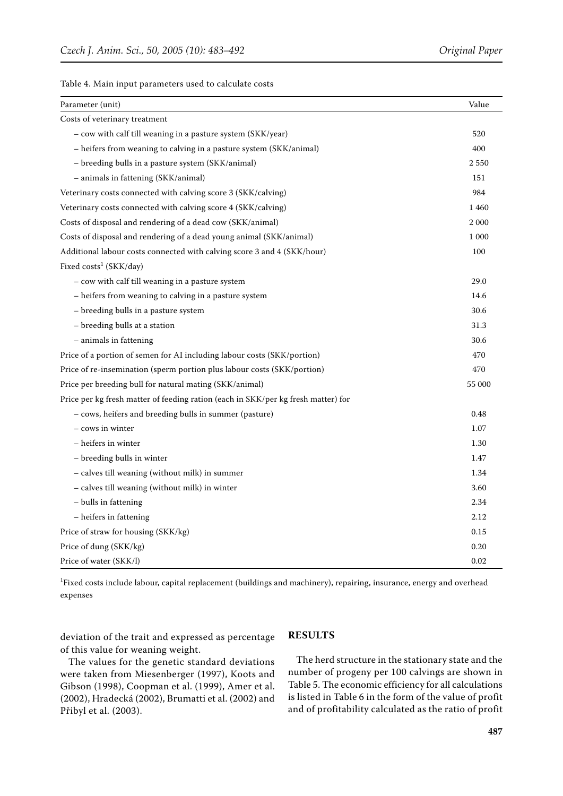|  |  |  |  | Table 4. Main input parameters used to calculate costs |  |  |  |  |  |
|--|--|--|--|--------------------------------------------------------|--|--|--|--|--|
|--|--|--|--|--------------------------------------------------------|--|--|--|--|--|

| Parameter (unit)                                                                  | Value   |
|-----------------------------------------------------------------------------------|---------|
| Costs of veterinary treatment                                                     |         |
| - cow with calf till weaning in a pasture system (SKK/year)                       | 520     |
| - heifers from weaning to calving in a pasture system (SKK/animal)                | 400     |
| - breeding bulls in a pasture system (SKK/animal)                                 | 2550    |
| - animals in fattening (SKK/animal)                                               | 151     |
| Veterinary costs connected with calving score 3 (SKK/calving)                     | 984     |
| Veterinary costs connected with calving score 4 (SKK/calving)                     | 1460    |
| Costs of disposal and rendering of a dead cow (SKK/animal)                        | 2 0 0 0 |
| Costs of disposal and rendering of a dead young animal (SKK/animal)               | 1 000   |
| Additional labour costs connected with calving score 3 and 4 (SKK/hour)           | 100     |
| Fixed costs <sup>1</sup> (SKK/day)                                                |         |
| - cow with calf till weaning in a pasture system                                  | 29.0    |
| - heifers from weaning to calving in a pasture system                             | 14.6    |
| - breeding bulls in a pasture system                                              | 30.6    |
| - breeding bulls at a station                                                     | 31.3    |
| - animals in fattening                                                            | 30.6    |
| Price of a portion of semen for AI including labour costs (SKK/portion)           | 470     |
| Price of re-insemination (sperm portion plus labour costs (SKK/portion)           | 470     |
| Price per breeding bull for natural mating (SKK/animal)                           | 55 000  |
| Price per kg fresh matter of feeding ration (each in SKK/per kg fresh matter) for |         |
| - cows, heifers and breeding bulls in summer (pasture)                            | 0.48    |
| - cows in winter                                                                  | 1.07    |
| - heifers in winter                                                               | 1.30    |
| - breeding bulls in winter                                                        | 1.47    |
| - calves till weaning (without milk) in summer                                    | 1.34    |
| - calves till weaning (without milk) in winter                                    | 3.60    |
| - bulls in fattening                                                              | 2.34    |
| - heifers in fattening                                                            | 2.12    |
| Price of straw for housing (SKK/kg)                                               | 0.15    |
| Price of dung (SKK/kg)                                                            | 0.20    |
| Price of water (SKK/l)                                                            | 0.02    |

1 Fixed costs include labour, capital replacement (buildings and machinery), repairing, insurance, energy and overhead expenses

deviation of the trait and expressed as percentage of this value for weaning weight.

## **RESULTS**

The values for the genetic standard deviations were taken from Miesenberger (1997), Koots and Gibson (1998), Coopman et al. (1999), Amer et al. (2002), Hradecká (2002), Brumatti et al. (2002) and Přibyl et al. (2003).

The herd structure in the stationary state and the number of progeny per 100 calvings are shown in Table 5. The economic efficiency for all calculations is listed in Table 6 in the form of the value of profit and of profitability calculated as the ratio of profit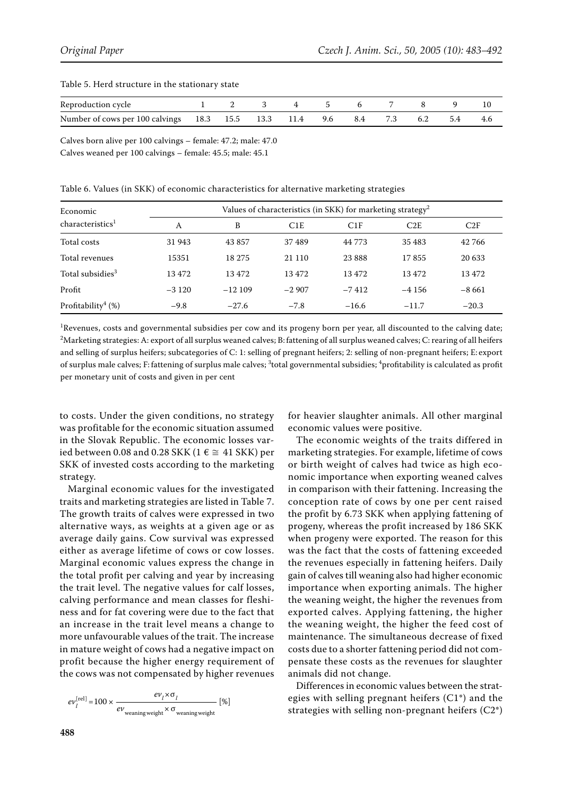| Reproduction cycle                                              |  | 3 4 5 6 |  |         | 10    |
|-----------------------------------------------------------------|--|---------|--|---------|-------|
| Number of cows per 100 calvings 18.3 15.5 13.3 11.4 9.6 8.4 7.3 |  |         |  | 6.2 5.4 | - 4.6 |

#### Table 5. Herd structure in the stationary state

Calves born alive per 100 calvings – female: 47.2; male: 47.0

Calves weaned per 100 calvings – female: 45.5; male: 45.1

#### Table 6. Values (in SKK) of economic characteristics for alternative marketing strategies

| Economic                          | Values of characteristics (in SKK) for marketing strategy <sup>2</sup> |          |         |          |         |         |  |  |
|-----------------------------------|------------------------------------------------------------------------|----------|---------|----------|---------|---------|--|--|
| characteristics <sup>1</sup>      | A                                                                      | B        | C1E     | C1F      | C2E     | C2F     |  |  |
| Total costs                       | 31 943                                                                 | 43 857   | 37489   | 44 773   | 35 483  | 42766   |  |  |
| Total revenues                    | 15351                                                                  | 18 275   | 21 110  | 23 8 8 8 | 17855   | 20 633  |  |  |
| Total subsidies <sup>3</sup>      | 13472                                                                  | 13472    | 13472   | 13472    | 13 472  | 13472   |  |  |
| Profit                            | $-3120$                                                                | $-12109$ | $-2907$ | $-7412$  | $-4156$ | $-8661$ |  |  |
| Profitability <sup>4</sup> $(\%)$ | $-9.8$                                                                 | $-27.6$  | $-7.8$  | $-16.6$  | $-11.7$ | $-20.3$ |  |  |

 ${}^{1}$ Revenues, costs and governmental subsidies per cow and its progeny born per year, all discounted to the calving date;  $^2$ Marketing strategies: A: export of all surplus weaned calves; B: fattening of all surplus weaned calves; C: rearing of all heifers and selling of surplus heifers; subcategories of C: 1: selling of pregnant heifers; 2: selling of non-pregnant heifers; E: export of surplus male calves; F: fattening of surplus male calves;  $^3$ total governmental subsidies;  $^4$ profitability is calculated as profit per monetary unit of costs and given in per cent

to costs. Under the given conditions, no strategy was profitable for the economic situation assumed in the Slovak Republic. The economic losses varied between 0.08 and 0.28 SKK (1 $\epsilon \cong 41$  SKK) per SKK of invested costs according to the marketing strategy.

Marginal economic values for the investigated traits and marketing strategies are listed in Table 7. The growth traits of calves were expressed in two alternative ways, as weights at a given age or as average daily gains. Cow survival was expressed either as average lifetime of cows or cow losses. Marginal economic values express the change in the total profit per calving and year by increasing the trait level. The negative values for calf losses, calving performance and mean classes for fleshiness and for fat covering were due to the fact that an increase in the trait level means a change to more unfavourable values of the trait. The increase in mature weight of cows had a negative impact on profit because the higher energy requirement of the cows was not compensated by higher revenues

$$
ev_l^{\text{[rel]}} = 100 \times \frac{ev_l \times \sigma_l}{ev_{\text{weaning weight}} \times \sigma_{\text{weaning weight}}} \text{ [%)}
$$

for heavier slaughter animals. All other marginal economic values were positive.

The economic weights of the traits differed in marketing strategies. For example, lifetime of cows or birth weight of calves had twice as high economic importance when exporting weaned calves in comparison with their fattening. Increasing the conception rate of cows by one per cent raised the profit by 6.73 SKK when applying fattening of progeny, whereas the profit increased by 186 SKK when progeny were exported. The reason for this was the fact that the costs of fattening exceeded the revenues especially in fattening heifers. Daily gain of calves till weaning also had higher economic importance when exporting animals. The higher the weaning weight, the higher the revenues from exported calves. Applying fattening, the higher the weaning weight, the higher the feed cost of maintenance. The simultaneous decrease of fixed costs due to a shorter fattening period did not compensate these costs as the revenues for slaughter animals did not change.

Differences in economic values between the strategies with selling pregnant heifers (C1\*) and the strategies with selling non-pregnant heifers (C2\*)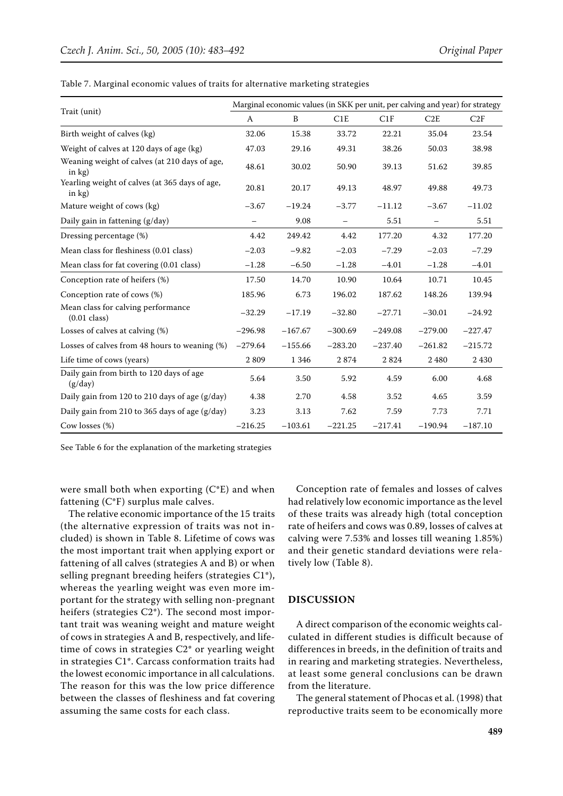|                                                              | Marginal economic values (in SKK per unit, per calving and year) for strategy |           |                   |           |           |           |  |  |  |
|--------------------------------------------------------------|-------------------------------------------------------------------------------|-----------|-------------------|-----------|-----------|-----------|--|--|--|
| Trait (unit)                                                 | A                                                                             | B         | C1E               | C1F       | C2E       | C2F       |  |  |  |
| Birth weight of calves (kg)                                  | 32.06                                                                         | 15.38     | 33.72             | 22.21     | 35.04     | 23.54     |  |  |  |
| Weight of calves at 120 days of age (kg)                     | 47.03                                                                         | 29.16     | 49.31             | 38.26     | 50.03     | 38.98     |  |  |  |
| Weaning weight of calves (at 210 days of age,<br>in $kg$ )   | 48.61                                                                         | 30.02     | 50.90             | 39.13     | 51.62     | 39.85     |  |  |  |
| Yearling weight of calves (at 365 days of age,<br>in $kg$ )  | 20.81                                                                         | 20.17     | 49.13             | 48.97     | 49.88     | 49.73     |  |  |  |
| Mature weight of cows (kg)                                   | $-3.67$                                                                       | $-19.24$  | $-3.77$           | $-11.12$  | $-3.67$   | $-11.02$  |  |  |  |
| Daily gain in fattening (g/day)                              |                                                                               | 9.08      | $\qquad \qquad -$ | 5.51      |           | 5.51      |  |  |  |
| Dressing percentage (%)                                      | 4.42                                                                          | 249.42    | 4.42              | 177.20    | 4.32      | 177.20    |  |  |  |
| Mean class for fleshiness (0.01 class)                       | $-2.03$                                                                       | $-9.82$   | $-2.03$           | $-7.29$   | $-2.03$   | $-7.29$   |  |  |  |
| Mean class for fat covering (0.01 class)                     | $-1.28$                                                                       | $-6.50$   | $-1.28$           | $-4.01$   | $-1.28$   | $-4.01$   |  |  |  |
| Conception rate of heifers (%)                               | 17.50                                                                         | 14.70     | 10.90             | 10.64     | 10.71     | 10.45     |  |  |  |
| Conception rate of cows (%)                                  | 185.96                                                                        | 6.73      | 196.02            | 187.62    | 148.26    | 139.94    |  |  |  |
| Mean class for calving performance<br>$(0.01 \text{ class})$ | $-32.29$                                                                      | $-17.19$  | $-32.80$          | $-27.71$  | $-30.01$  | $-24.92$  |  |  |  |
| Losses of calves at calving (%)                              | $-296.98$                                                                     | $-167.67$ | $-300.69$         | $-249.08$ | $-279.00$ | $-227.47$ |  |  |  |
| Losses of calves from 48 hours to weaning (%)                | $-279.64$                                                                     | $-155.66$ | $-283.20$         | $-237.40$ | $-261.82$ | $-215.72$ |  |  |  |
| Life time of cows (years)                                    | 2809                                                                          | 1 3 4 6   | 2874              | 2824      | 2480      | 2430      |  |  |  |
| Daily gain from birth to 120 days of age<br>(g/day)          | 5.64                                                                          | 3.50      | 5.92              | 4.59      | 6.00      | 4.68      |  |  |  |
| Daily gain from 120 to 210 days of age (g/day)               | 4.38                                                                          | 2.70      | 4.58              | 3.52      | 4.65      | 3.59      |  |  |  |
| Daily gain from 210 to 365 days of age (g/day)               | 3.23                                                                          | 3.13      | 7.62              | 7.59      | 7.73      | 7.71      |  |  |  |
| Cow losses $(\%)$                                            | $-216.25$                                                                     | $-103.61$ | $-221.25$         | $-217.41$ | $-190.94$ | $-187.10$ |  |  |  |

Table 7. Marginal economic values of traits for alternative marketing strategies

See Table 6 for the explanation of the marketing strategies

were small both when exporting  $(C^*E)$  and when fattening (C\*F) surplus male calves.

The relative economic importance of the 15 traits (the alternative expression of traits was not included) is shown in Table 8. Lifetime of cows was the most important trait when applying export or fattening of all calves (strategies A and B) or when selling pregnant breeding heifers (strategies C1\*), whereas the yearling weight was even more important for the strategy with selling non-pregnant heifers (strategies C2\*). The second most important trait was weaning weight and mature weight of cows in strategies A and B, respectively, and lifetime of cows in strategies C2\* or yearling weight in strategies C1\*. Carcass conformation traits had the lowest economic importance in all calculations. The reason for this was the low price difference between the classes of fleshiness and fat covering assuming the same costs for each class.

Conception rate of females and losses of calves had relatively low economic importance as the level of these traits was already high (total conception rate of heifers and cows was 0.89, losses of calves at calving were 7.53% and losses till weaning 1.85%) and their genetic standard deviations were relatively low (Table 8).

## **DISCUSSION**

A direct comparison of the economic weights calculated in different studies is difficult because of differences in breeds, in the definition of traits and in rearing and marketing strategies. Nevertheless, at least some general conclusions can be drawn from the literature.

The general statement of Phocas et al. (1998) that reproductive traits seem to be economically more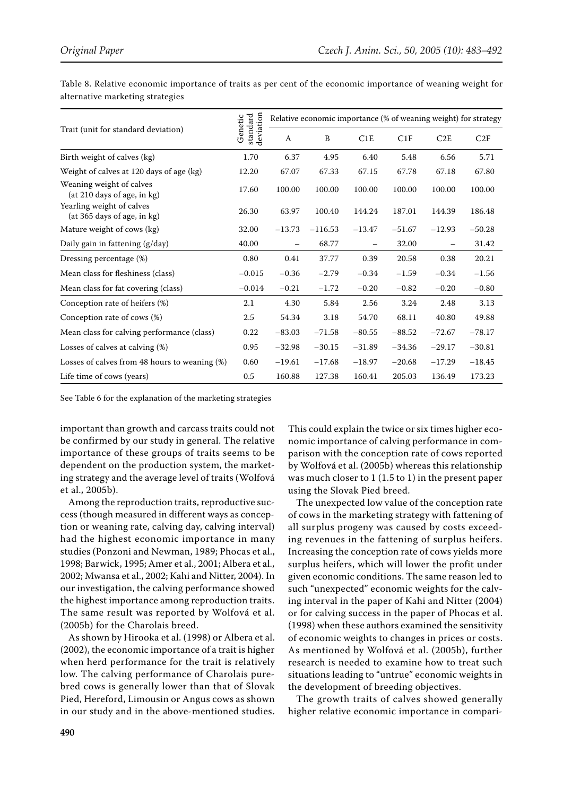|                                                          |                                  | Relative economic importance (% of weaning weight) for strategy |           |          |          |          |          |  |  |  |
|----------------------------------------------------------|----------------------------------|-----------------------------------------------------------------|-----------|----------|----------|----------|----------|--|--|--|
| Trait (unit for standard deviation)                      | standard<br>deviation<br>Genetic | A                                                               | B         | C1E      | C1F      | C2E      | C2F      |  |  |  |
| Birth weight of calves (kg)                              | 1.70                             | 6.37                                                            | 4.95      | 6.40     | 5.48     | 6.56     | 5.71     |  |  |  |
| Weight of calves at 120 days of age (kg)                 | 12.20                            | 67.07                                                           | 67.33     | 67.15    | 67.78    | 67.18    | 67.80    |  |  |  |
| Weaning weight of calves<br>(at 210 days of age, in kg)  | 17.60                            | 100.00                                                          | 100.00    | 100.00   | 100.00   | 100.00   | 100.00   |  |  |  |
| Yearling weight of calves<br>(at 365 days of age, in kg) | 26.30                            | 63.97                                                           | 100.40    | 144.24   | 187.01   | 144.39   | 186.48   |  |  |  |
| Mature weight of cows (kg)                               | 32.00                            | $-13.73$                                                        | $-116.53$ | $-13.47$ | $-51.67$ | $-12.93$ | $-50.28$ |  |  |  |
| Daily gain in fattening (g/day)                          | 40.00                            |                                                                 | 68.77     |          | 32.00    |          | 31.42    |  |  |  |
| Dressing percentage (%)                                  | 0.80                             | 0.41                                                            | 37.77     | 0.39     | 20.58    | 0.38     | 20.21    |  |  |  |
| Mean class for fleshiness (class)                        | $-0.015$                         | $-0.36$                                                         | $-2.79$   | $-0.34$  | $-1.59$  | $-0.34$  | $-1.56$  |  |  |  |
| Mean class for fat covering (class)                      | $-0.014$                         | $-0.21$                                                         | $-1.72$   | $-0.20$  | $-0.82$  | $-0.20$  | $-0.80$  |  |  |  |
| Conception rate of heifers (%)                           | 2.1                              | 4.30                                                            | 5.84      | 2.56     | 3.24     | 2.48     | 3.13     |  |  |  |
| Conception rate of cows (%)                              | 2.5                              | 54.34                                                           | 3.18      | 54.70    | 68.11    | 40.80    | 49.88    |  |  |  |
| Mean class for calving performance (class)               | 0.22                             | $-83.03$                                                        | $-71.58$  | $-80.55$ | $-88.52$ | $-72.67$ | $-78.17$ |  |  |  |
| Losses of calves at calving (%)                          | 0.95                             | $-32.98$                                                        | $-30.15$  | $-31.89$ | $-34.36$ | $-29.17$ | $-30.81$ |  |  |  |
| Losses of calves from 48 hours to weaning (%)            | 0.60                             | $-19.61$                                                        | $-17.68$  | $-18.97$ | $-20.68$ | $-17.29$ | $-18.45$ |  |  |  |
| Life time of cows (years)                                | 0.5                              | 160.88                                                          | 127.38    | 160.41   | 205.03   | 136.49   | 173.23   |  |  |  |

Table 8. Relative economic importance of traits as per cent of the economic importance of weaning weight for alternative marketing strategies

See Table 6 for the explanation of the marketing strategies

important than growth and carcass traits could not be confirmed by our study in general. The relative importance of these groups of traits seems to be dependent on the production system, the marketing strategy and the average level of traits (Wolfová et al., 2005b).

Among the reproduction traits, reproductive success (though measured in different ways as conception or weaning rate, calving day, calving interval) had the highest economic importance in many studies (Ponzoni and Newman, 1989; Phocas et al., 1998; Barwick, 1995; Amer et al., 2001; Albera et al., 2002; Mwansa et al., 2002; Kahi and Nitter, 2004). In our investigation, the calving performance showed the highest importance among reproduction traits. The same result was reported by Wolfová et al. (2005b) for the Charolais breed.

As shown by Hirooka et al. (1998) or Albera et al. (2002), the economic importance of a trait is higher when herd performance for the trait is relatively low. The calving performance of Charolais purebred cows is generally lower than that of Slovak Pied, Hereford, Limousin or Angus cows as shown in our study and in the above-mentioned studies. This could explain the twice or six times higher economic importance of calving performance in comparison with the conception rate of cows reported by Wolfová et al. (2005b) whereas this relationship was much closer to 1 (1.5 to 1) in the present paper using the Slovak Pied breed.

The unexpected low value of the conception rate of cows in the marketing strategy with fattening of all surplus progeny was caused by costs exceeding revenues in the fattening of surplus heifers. Increasing the conception rate of cows yields more surplus heifers, which will lower the profit under given economic conditions. The same reason led to such "unexpected" economic weights for the calving interval in the paper of Kahi and Nitter (2004) or for calving success in the paper of Phocas et al. (1998) when these authors examined the sensitivity of economic weights to changes in prices or costs. As mentioned by Wolfová et al. (2005b), further research is needed to examine how to treat such situations leading to "untrue" economic weights in the development of breeding objectives.

The growth traits of calves showed generally higher relative economic importance in compari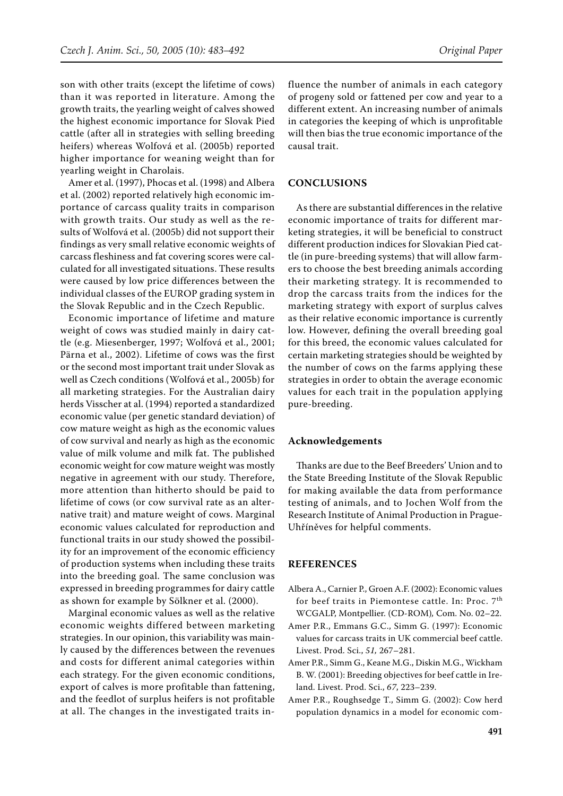son with other traits (except the lifetime of cows) than it was reported in literature. Among the growth traits, the yearling weight of calves showed the highest economic importance for Slovak Pied cattle (after all in strategies with selling breeding heifers) whereas Wolfová et al. (2005b) reported higher importance for weaning weight than for yearling weight in Charolais.

Amer et al. (1997), Phocas et al. (1998) and Albera et al. (2002) reported relatively high economic importance of carcass quality traits in comparison with growth traits. Our study as well as the results of Wolfová et al. (2005b) did not support their findings as very small relative economic weights of carcass fleshiness and fat covering scores were calculated for all investigated situations. These results were caused by low price differences between the individual classes of the EUROP grading system in the Slovak Republic and in the Czech Republic.

Economic importance of lifetime and mature weight of cows was studied mainly in dairy cattle (e.g. Miesenberger, 1997; Wolfová et al., 2001; Pärna et al., 2002). Lifetime of cows was the first or the second most important trait under Slovak as well as Czech conditions (Wolfová et al., 2005b) for all marketing strategies. For the Australian dairy herds Visscher at al. (1994) reported a standardized economic value (per genetic standard deviation) of cow mature weight as high as the economic values of cow survival and nearly as high as the economic value of milk volume and milk fat. The published economic weight for cow mature weight was mostly negative in agreement with our study. Therefore, more attention than hitherto should be paid to lifetime of cows (or cow survival rate as an alternative trait) and mature weight of cows. Marginal economic values calculated for reproduction and functional traits in our study showed the possibility for an improvement of the economic efficiency of production systems when including these traits into the breeding goal. The same conclusion was expressed in breeding programmes for dairy cattle as shown for example by Sölkner et al. (2000).

Marginal economic values as well as the relative economic weights differed between marketing strategies. In our opinion, this variability was mainly caused by the differences between the revenues and costs for different animal categories within each strategy. For the given economic conditions, export of calves is more profitable than fattening, and the feedlot of surplus heifers is not profitable at all. The changes in the investigated traits influence the number of animals in each category of progeny sold or fattened per cow and year to a different extent. An increasing number of animals in categories the keeping of which is unprofitable will then bias the true economic importance of the causal trait.

## **CONCLUSIONS**

As there are substantial differences in the relative economic importance of traits for different marketing strategies, it will be beneficial to construct different production indices for Slovakian Pied cattle (in pure-breeding systems) that will allow farmers to choose the best breeding animals according their marketing strategy. It is recommended to drop the carcass traits from the indices for the marketing strategy with export of surplus calves as their relative economic importance is currently low. However, defining the overall breeding goal for this breed, the economic values calculated for certain marketing strategies should be weighted by the number of cows on the farms applying these strategies in order to obtain the average economic values for each trait in the population applying pure-breeding.

## **Acknowledgements**

Thanks are due to the Beef Breeders' Union and to the State Breeding Institute of the Slovak Republic for making available the data from performance testing of animals, and to Jochen Wolf from the Research Institute of Animal Production in Prague-Uhříněves for helpful comments.

## **REFERENCES**

- Albera A., Carnier P., Groen A.F. (2002): Economic values for beef traits in Piemontese cattle. In: Proc. 7<sup>th</sup> WCGALP, Montpellier. (CD-ROM)*,* Com. No. 02–22.
- Amer P.R., Emmans G.C., Simm G. (1997): Economic values for carcass traits in UK commercial beef cattle. Livest. Prod. Sci., *51,* 267–281.
- Amer P.R., Simm G., Keane M.G., Diskin M.G., Wickham B. W. (2001): Breeding objectives for beef cattle in Ireland. Livest. Prod. Sci., *67*, 223–239.
- Amer P.R., Roughsedge T., Simm G. (2002): Cow herd population dynamics in a model for economic com-